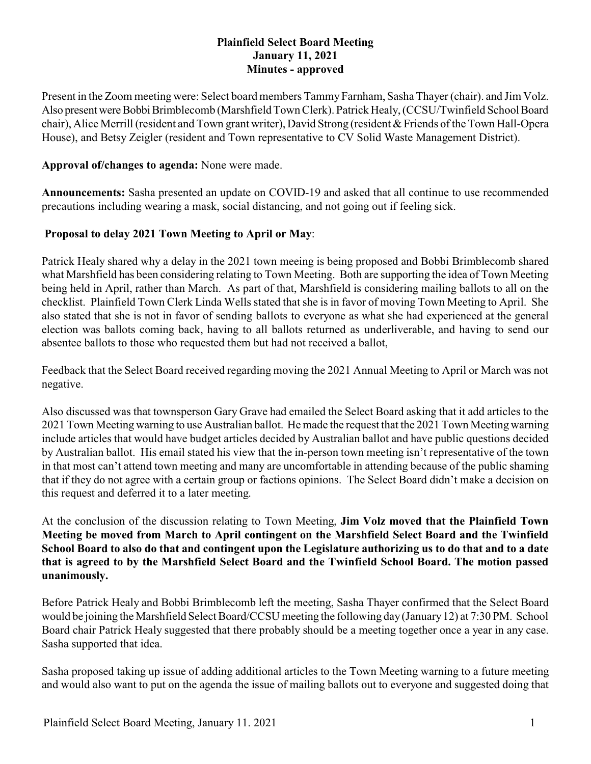## **Plainfield Select Board Meeting January 11, 2021 Minutes - approved**

Present in the Zoom meeting were: Select board members Tammy Farnham, Sasha Thayer (chair), and Jim Volz. Also present were Bobbi Brimblecomb (Marshfield Town Clerk). Patrick Healy, (CCSU/Twinfield School Board chair), Alice Merrill (resident and Town grant writer), David Strong (resident & Friends of the Town Hall-Opera House), and Betsy Zeigler (resident and Town representative to CV Solid Waste Management District).

#### **Approval of/changes to agenda:** None were made.

**Announcements:** Sasha presented an update on COVID-19 and asked that all continue to use recommended precautions including wearing a mask, social distancing, and not going out if feeling sick.

# **Proposal to delay 2021 Town Meeting to April or May**:

Patrick Healy shared why a delay in the 2021 town meeing is being proposed and Bobbi Brimblecomb shared what Marshfield has been considering relating to Town Meeting. Both are supporting the idea of Town Meeting being held in April, rather than March. As part of that, Marshfield is considering mailing ballots to all on the checklist. Plainfield Town Clerk Linda Wells stated that she is in favor of moving Town Meeting to April. She also stated that she is not in favor of sending ballots to everyone as what she had experienced at the general election was ballots coming back, having to all ballots returned as underliverable, and having to send our absentee ballots to those who requested them but had not received a ballot,

Feedback that the Select Board received regarding moving the 2021 Annual Meeting to April or March was not negative.

Also discussed was that townsperson Gary Grave had emailed the Select Board asking that it add articles to the 2021 Town Meeting warning to use Australian ballot. He made the request that the 2021 Town Meeting warning include articles that would have budget articles decided by Australian ballot and have public questions decided by Australian ballot. His email stated his view that the in-person town meeting isn't representative of the town in that most can't attend town meeting and many are uncomfortable in attending because of the public shaming that if they do not agree with a certain group or factions opinions. The Select Board didn't make a decision on this request and deferred it to a later meeting.

At the conclusion of the discussion relating to Town Meeting, **Jim Volz moved that the Plainfield Town Meeting be moved from March to April contingent on the Marshfield Select Board and the Twinfield School Board to also do that and contingent upon the Legislature authorizing us to do that and to a date that is agreed to by the Marshfield Select Board and the Twinfield School Board. The motion passed unanimously.**

Before Patrick Healy and Bobbi Brimblecomb left the meeting, Sasha Thayer confirmed that the Select Board would be joining the Marshfield Select Board/CCSU meeting the following day(January12) at 7:30 PM. School Board chair Patrick Healy suggested that there probably should be a meeting together once a year in any case. Sasha supported that idea.

Sasha proposed taking up issue of adding additional articles to the Town Meeting warning to a future meeting and would also want to put on the agenda the issue of mailing ballots out to everyone and suggested doing that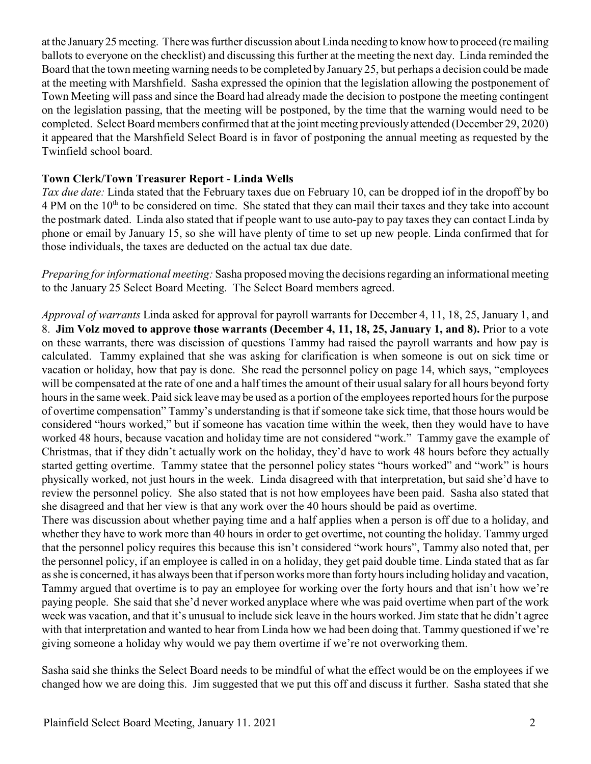at the January25 meeting. There was further discussion about Linda needing to know how to proceed (re mailing ballots to everyone on the checklist) and discussing this further at the meeting the next day. Linda reminded the Board that the town meeting warning needs to be completed by January 25, but perhaps a decision could be made at the meeting with Marshfield. Sasha expressed the opinion that the legislation allowing the postponement of Town Meeting will pass and since the Board had already made the decision to postpone the meeting contingent on the legislation passing, that the meeting will be postponed, by the time that the warning would need to be completed. Select Board members confirmed that at the joint meeting previously attended (December 29, 2020) it appeared that the Marshfield Select Board is in favor of postponing the annual meeting as requested by the Twinfield school board.

### **Town Clerk/Town Treasurer Report - Linda Wells**

*Tax due date:* Linda stated that the February taxes due on February 10, can be dropped iof in the dropoff by bo  $4 \text{ PM}$  on the  $10^{\text{th}}$  to be considered on time. She stated that they can mail their taxes and they take into account the postmark dated. Linda also stated that if people want to use auto-pay to pay taxes they can contact Linda by phone or email by January 15, so she will have plenty of time to set up new people. Linda confirmed that for those individuals, the taxes are deducted on the actual tax due date.

*Preparing for informational meeting:* Sasha proposed moving the decisions regarding an informational meeting to the January 25 Select Board Meeting. The Select Board members agreed.

*Approval of warrants* Linda asked for approval for payroll warrants for December 4, 11, 18, 25, January 1, and 8. **Jim Volz moved to approve those warrants (December 4, 11, 18, 25, January 1, and 8).** Prior to a vote on these warrants, there was discission of questions Tammy had raised the payroll warrants and how pay is calculated. Tammy explained that she was asking for clarification is when someone is out on sick time or vacation or holiday, how that pay is done. She read the personnel policy on page 14, which says, "employees will be compensated at the rate of one and a half times the amount of their usual salary for all hours beyond forty hours in the same week. Paid sick leave may be used as a portion of the employees reported hours for the purpose of overtime compensation" Tammy's understanding is that if someone take sick time, that those hours would be considered "hours worked," but if someone has vacation time within the week, then they would have to have worked 48 hours, because vacation and holiday time are not considered "work." Tammy gave the example of Christmas, that if they didn't actually work on the holiday, they'd have to work 48 hours before they actually started getting overtime. Tammy statee that the personnel policy states "hours worked" and "work" is hours physically worked, not just hours in the week. Linda disagreed with that interpretation, but said she'd have to review the personnel policy. She also stated that is not how employees have been paid. Sasha also stated that she disagreed and that her view is that any work over the 40 hours should be paid as overtime.

There was discussion about whether paying time and a half applies when a person is off due to a holiday, and whether they have to work more than 40 hours in order to get overtime, not counting the holiday. Tammy urged that the personnel policy requires this because this isn't considered "work hours", Tammy also noted that, per the personnel policy, if an employee is called in on a holiday, they get paid double time. Linda stated that as far as she is concerned, it has always been that if person works more than forty hours including holiday and vacation, Tammy argued that overtime is to pay an employee for working over the forty hours and that isn't how we're paying people. She said that she'd never worked anyplace where whe was paid overtime when part of the work week was vacation, and that it's unusual to include sick leave in the hours worked. Jim state that he didn't agree with that interpretation and wanted to hear from Linda how we had been doing that. Tammy questioned if we're giving someone a holiday why would we pay them overtime if we're not overworking them.

Sasha said she thinks the Select Board needs to be mindful of what the effect would be on the employees if we changed how we are doing this. Jim suggested that we put this off and discuss it further. Sasha stated that she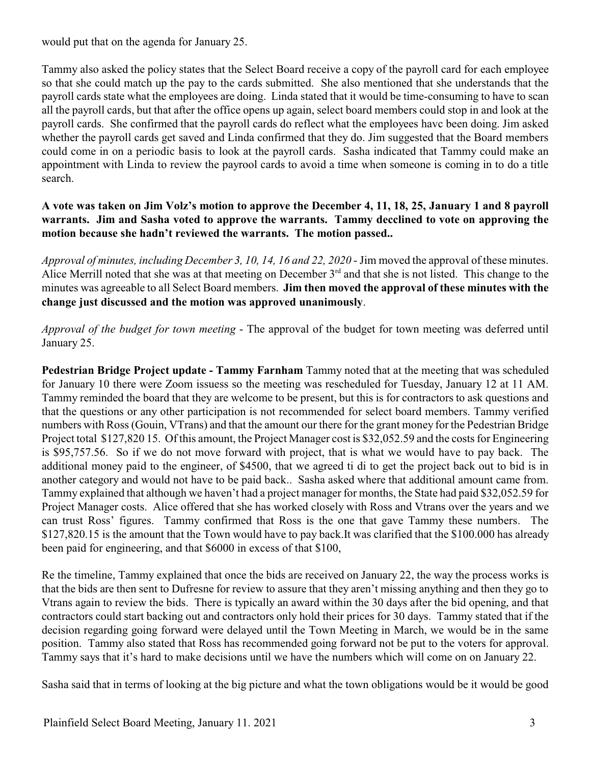would put that on the agenda for January 25.

Tammy also asked the policy states that the Select Board receive a copy of the payroll card for each employee so that she could match up the pay to the cards submitted. She also mentioned that she understands that the payroll cards state what the employees are doing. Linda stated that it would be time-consuming to have to scan all the payroll cards, but that after the office opens up again, select board members could stop in and look at the payroll cards. She confirmed that the payroll cards do reflect what the employees havc been doing. Jim asked whether the payroll cards get saved and Linda confirmed that they do. Jim suggested that the Board members could come in on a periodic basis to look at the payroll cards. Sasha indicated that Tammy could make an appointment with Linda to review the payrool cards to avoid a time when someone is coming in to do a title search.

# **A vote was taken on Jim Volz's motion to approve the December 4, 11, 18, 25, January 1 and 8 payroll warrants. Jim and Sasha voted to approve the warrants. Tammy decclined to vote on approving the motion because she hadn't reviewed the warrants. The motion passed..**

*Approval of minutes, including December 3, 10, 14, 16 and 22, 2020* - Jim moved the approval of these minutes. Alice Merrill noted that she was at that meeting on December  $3<sup>rd</sup>$  and that she is not listed. This change to the minutes was agreeable to all Select Board members. **Jim then moved the approval of these minutes with the change just discussed and the motion was approved unanimously**.

*Approval of the budget for town meeting* - The approval of the budget for town meeting was deferred until January 25.

**Pedestrian Bridge Project update - Tammy Farnham** Tammy noted that at the meeting that was scheduled for January 10 there were Zoom issuess so the meeting was rescheduled for Tuesday, January 12 at 11 AM. Tammy reminded the board that they are welcome to be present, but this is for contractors to ask questions and that the questions or any other participation is not recommended for select board members. Tammy verified numbers with Ross (Gouin, VTrans) and that the amount our there for the grant money for the Pedestrian Bridge Project total \$127,820 15. Of this amount, the Project Manager cost is \$32,052.59 and the costs for Engineering is \$95,757.56. So if we do not move forward with project, that is what we would have to pay back. The additional money paid to the engineer, of \$4500, that we agreed ti di to get the project back out to bid is in another category and would not have to be paid back.. Sasha asked where that additional amount came from. Tammy explained that although we haven't had a project manager for months, the State had paid \$32,052.59 for Project Manager costs. Alice offered that she has worked closely with Ross and Vtrans over the years and we can trust Ross' figures. Tammy confirmed that Ross is the one that gave Tammy these numbers. The \$127,820.15 is the amount that the Town would have to pay back.It was clarified that the \$100.000 has already been paid for engineering, and that \$6000 in excess of that \$100,

Re the timeline, Tammy explained that once the bids are received on January 22, the way the process works is that the bids are then sent to Dufresne for review to assure that they aren't missing anything and then they go to Vtrans again to review the bids. There is typically an award within the 30 days after the bid opening, and that contractors could start backing out and contractors only hold their prices for 30 days. Tammy stated that if the decision regarding going forward were delayed until the Town Meeting in March, we would be in the same position. Tammy also stated that Ross has recommended going forward not be put to the voters for approval. Tammy says that it's hard to make decisions until we have the numbers which will come on on January 22.

Sasha said that in terms of looking at the big picture and what the town obligations would be it would be good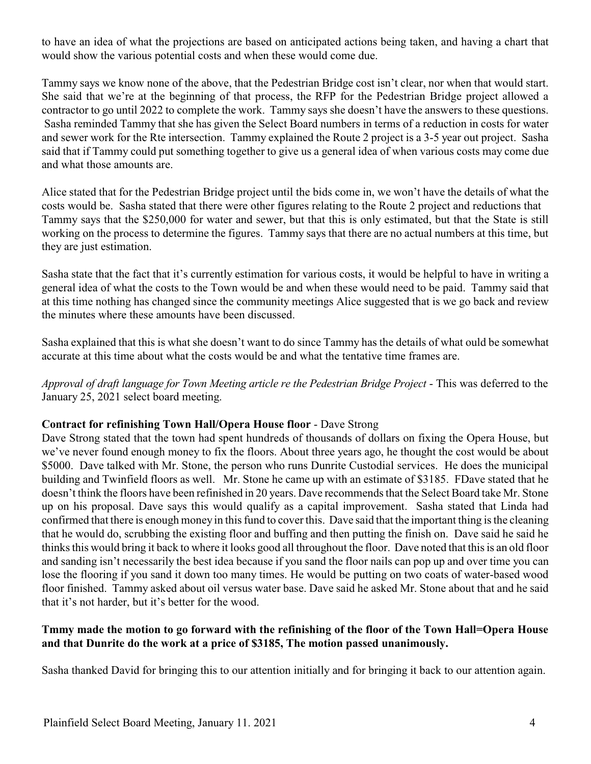to have an idea of what the projections are based on anticipated actions being taken, and having a chart that would show the various potential costs and when these would come due.

Tammy says we know none of the above, that the Pedestrian Bridge cost isn't clear, nor when that would start. She said that we're at the beginning of that process, the RFP for the Pedestrian Bridge project allowed a contractor to go until 2022 to complete the work. Tammy says she doesn't have the answers to these questions. Sasha reminded Tammy that she has given the Select Board numbers in terms of a reduction in costs for water and sewer work for the Rte intersection. Tammy explained the Route 2 project is a 3-5 year out project. Sasha said that if Tammy could put something together to give us a general idea of when various costs may come due and what those amounts are.

Alice stated that for the Pedestrian Bridge project until the bids come in, we won't have the details of what the costs would be. Sasha stated that there were other figures relating to the Route 2 project and reductions that Tammy says that the \$250,000 for water and sewer, but that this is only estimated, but that the State is still working on the process to determine the figures. Tammy says that there are no actual numbers at this time, but they are just estimation.

Sasha state that the fact that it's currently estimation for various costs, it would be helpful to have in writing a general idea of what the costs to the Town would be and when these would need to be paid. Tammy said that at this time nothing has changed since the community meetings Alice suggested that is we go back and review the minutes where these amounts have been discussed.

Sasha explained that this is what she doesn't want to do since Tammy has the details of what ould be somewhat accurate at this time about what the costs would be and what the tentative time frames are.

*Approval of draft language for Town Meeting article re the Pedestrian Bridge Project* - This was deferred to the January 25, 2021 select board meeting.

### **Contract for refinishing Town Hall/Opera House floor** - Dave Strong

Dave Strong stated that the town had spent hundreds of thousands of dollars on fixing the Opera House, but we've never found enough money to fix the floors. About three years ago, he thought the cost would be about \$5000. Dave talked with Mr. Stone, the person who runs Dunrite Custodial services. He does the municipal building and Twinfield floors as well. Mr. Stone he came up with an estimate of \$3185. FDave stated that he doesn't think the floors have been refinished in 20 years. Dave recommends that the Select Board take Mr. Stone up on his proposal. Dave says this would qualify as a capital improvement. Sasha stated that Linda had confirmed that there is enough money in this fund to cover this. Dave said that the important thing is the cleaning that he would do, scrubbing the existing floor and buffing and then putting the finish on. Dave said he said he thinks this would bring it back to where it looks good all throughout the floor. Dave noted that this is an old floor and sanding isn't necessarily the best idea because if you sand the floor nails can pop up and over time you can lose the flooring if you sand it down too many times. He would be putting on two coats of water-based wood floor finished. Tammy asked about oil versus water base. Dave said he asked Mr. Stone about that and he said that it's not harder, but it's better for the wood.

### **Tmmy made the motion to go forward with the refinishing of the floor of the Town Hall=Opera House and that Dunrite do the work at a price of \$3185, The motion passed unanimously.**

Sasha thanked David for bringing this to our attention initially and for bringing it back to our attention again.